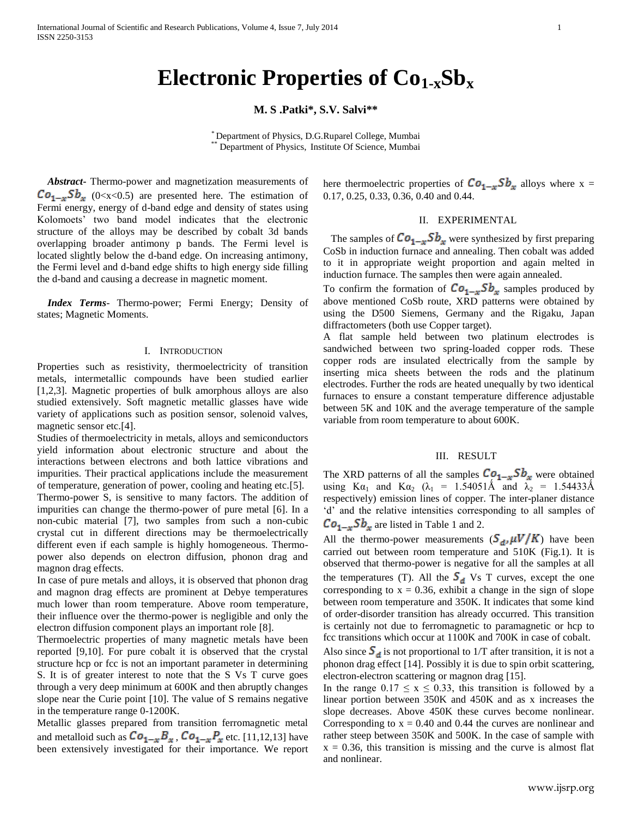# **Electronic Properties of Co1-xSb<sup>x</sup>**

## **M. S .Patki\*, S.V. Salvi\*\***

\* Department of Physics, D.G.Ruparel College, Mumbai \*\* Department of Physics, Institute Of Science, Mumbai

 *Abstract***-** Thermo-power and magnetization measurements of  $Co_{1-x}Sb_x$  (0<x<0.5) are presented here. The estimation of Fermi energy, energy of d-band edge and density of states using Kolomoets' two band model indicates that the electronic structure of the alloys may be described by cobalt 3d bands overlapping broader antimony p bands. The Fermi level is located slightly below the d-band edge. On increasing antimony, the Fermi level and d-band edge shifts to high energy side filling the d-band and causing a decrease in magnetic moment.

 *Index Terms*- Thermo-power; Fermi Energy; Density of states; Magnetic Moments.

## I. INTRODUCTION

Properties such as resistivity, thermoelectricity of transition metals, intermetallic compounds have been studied earlier [1,2,3]. Magnetic properties of bulk amorphous alloys are also studied extensively. Soft magnetic metallic glasses have wide variety of applications such as position sensor, solenoid valves, magnetic sensor etc.[4].

Studies of thermoelectricity in metals, alloys and semiconductors yield information about electronic structure and about the interactions between electrons and both lattice vibrations and impurities. Their practical applications include the measurement of temperature, generation of power, cooling and heating etc.[5]. Thermo-power S, is sensitive to many factors. The addition of impurities can change the thermo-power of pure metal [6]. In a non-cubic material [7], two samples from such a non-cubic crystal cut in different directions may be thermoelectrically different even if each sample is highly homogeneous. Thermopower also depends on electron diffusion, phonon drag and magnon drag effects.

In case of pure metals and alloys, it is observed that phonon drag and magnon drag effects are prominent at Debye temperatures much lower than room temperature. Above room temperature, their influence over the thermo-power is negligible and only the electron diffusion component plays an important role [8].

Thermoelectric properties of many magnetic metals have been reported [9,10]. For pure cobalt it is observed that the crystal structure hcp or fcc is not an important parameter in determining S. It is of greater interest to note that the S Vs T curve goes through a very deep minimum at 600K and then abruptly changes slope near the Curie point [10]. The value of S remains negative in the temperature range 0-1200K.

Metallic glasses prepared from transition ferromagnetic metal and metalloid such as  $Co_{1-x}B_x$ ,  $Co_{1-x}P_x$  etc. [11,12,13] have been extensively investigated for their importance. We report here thermoelectric properties of  $Co_{1-x}Sb_x$  alloys where x = 0.17, 0.25, 0.33, 0.36, 0.40 and 0.44.

## II. EXPERIMENTAL

The samples of  $Co_{1-x}Sb_x$  were synthesized by first preparing CoSb in induction furnace and annealing. Then cobalt was added to it in appropriate weight proportion and again melted in induction furnace. The samples then were again annealed.

To confirm the formation of  $Co_{1-x}Sb_x$  samples produced by above mentioned CoSb route, XRD patterns were obtained by using the D500 Siemens, Germany and the Rigaku, Japan diffractometers (both use Copper target).

A flat sample held between two platinum electrodes is sandwiched between two spring-loaded copper rods. These copper rods are insulated electrically from the sample by inserting mica sheets between the rods and the platinum electrodes. Further the rods are heated unequally by two identical furnaces to ensure a constant temperature difference adjustable between 5K and 10K and the average temperature of the sample variable from room temperature to about 600K.

## III. RESULT

The XRD patterns of all the samples  $Co_{1-x}Sb_x$  were obtained using K $\alpha_1$  and K $\alpha_2$  ( $\lambda_1$  = 1.54051Å and  $\lambda_2$  = 1.54433Å respectively) emission lines of copper. The inter-planer distance 'd' and the relative intensities corresponding to all samples of  $Co_{1-x}Sb_x$  are listed in Table 1 and 2.

All the thermo-power measurements  $(S_d, \mu V/K)$  have been carried out between room temperature and 510K (Fig.1). It is observed that thermo-power is negative for all the samples at all the temperatures (T). All the  $S_d$  Vs T curves, except the one corresponding to  $x = 0.36$ , exhibit a change in the sign of slope between room temperature and 350K. It indicates that some kind of order-disorder transition has already occurred. This transition is certainly not due to ferromagnetic to paramagnetic or hcp to fcc transitions which occur at 1100K and 700K in case of cobalt.

Also since  $S_d$  is not proportional to 1/T after transition, it is not a phonon drag effect [14]. Possibly it is due to spin orbit scattering, electron-electron scattering or magnon drag [15].

In the range  $0.17 \le x \le 0.33$ , this transition is followed by a linear portion between 350K and 450K and as x increases the slope decreases. Above 450K these curves become nonlinear. Corresponding to  $x = 0.40$  and 0.44 the curves are nonlinear and rather steep between 350K and 500K. In the case of sample with  $x = 0.36$ , this transition is missing and the curve is almost flat and nonlinear.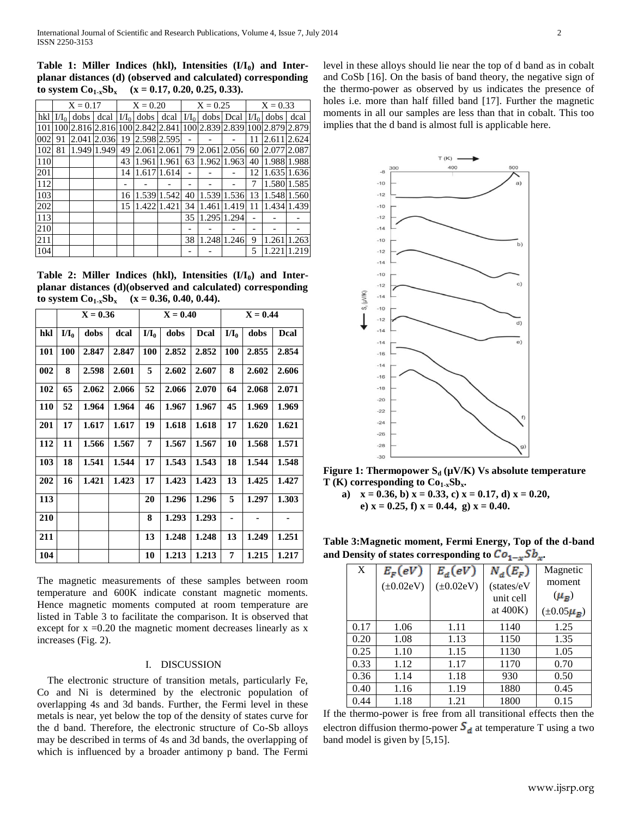**Table 1: Miller Indices (hkl), Intensities (I/I0) and Interplanar distances (d) (observed and calculated) corresponding**  to system  $Co_{1-x}Sb_x$  (x = 0.17, 0.20, 0.25, 0.33).

|     | $X = 0.17$  |                 |             | $X = 0.20$ |                 |             | $X = 0.25$ |                                 |             | $X = 0.33$ |             |             |
|-----|-------------|-----------------|-------------|------------|-----------------|-------------|------------|---------------------------------|-------------|------------|-------------|-------------|
| hkl | $\rm M_{0}$ | dobs            | dcal        | $\rm{M}_0$ | dobs            | dcal        | $I/I_0$    |                                 | dobs Deal   | $I/I_0$    | dobs        | dcal        |
| 101 |             | 100 2.816 2.816 |             |            | 100 2.842 2.841 |             |            | 100 2.839 2.839 100 2.879 2.879 |             |            |             |             |
| 002 | 91          | 2.041           | 2.036       | 19         | 2.598 2.595     |             |            |                                 |             | 11         | 2.611 2.624 |             |
| 102 | 81          |                 | 1.949 1.949 | 49         | 2.061           | 2.061       | 79         | 2.061                           | 2.056       | 60         | 2.077 2.087 |             |
| 110 |             |                 |             | 43         | 1.961           | 1.961       | 63         |                                 | 1.962 1.963 | 40         |             | 1.988 1.988 |
| 201 |             |                 |             | 14         |                 | 1.617 1.614 |            |                                 |             | 12         |             | 1.635 1.636 |
| 112 |             |                 |             |            |                 |             |            |                                 |             | 7          |             | 1.580 1.585 |
| 103 |             |                 |             | 16         |                 | 1.539 1.542 | 40         |                                 | 1.539 1.536 | 13         |             | 1.548 1.560 |
| 202 |             |                 |             | 15         | 1.422           | 1.421       | 34         | 1.461                           | 1.419       | 11         |             | 1.434 1.439 |
| 113 |             |                 |             |            |                 |             | 35         |                                 | 1.295 1.294 |            |             |             |
| 210 |             |                 |             |            |                 |             |            |                                 |             |            |             |             |
| 211 |             |                 |             |            |                 |             | 38         | 1.248                           | 1.246       | 9          | 1.261       | 1.263       |
| 104 |             |                 |             |            |                 |             |            |                                 |             | 5          | 1.221       | 1.219       |

**Table 2: Miller Indices (hkl), Intensities (I/I0) and Interplanar distances (d)(observed and calculated) corresponding to system**  $Co_{1-x}Sb_x$   $(x = 0.36, 0.40, 0.44)$ .

|     | $X = 0.36$ |       |       |         | $X = 0.40$ |       | $X = 0.44$ |       |       |  |
|-----|------------|-------|-------|---------|------------|-------|------------|-------|-------|--|
| hkl | $I/I_0$    | dobs  | dcal  | $I/I_0$ | dobs       | Dcal  | $I/I_0$    | dobs  | Dcal  |  |
| 101 | 100        | 2.847 | 2.847 | 100     | 2.852      | 2.852 | <b>100</b> | 2.855 | 2.854 |  |
| 002 | 8          | 2.598 | 2.601 | 5       | 2.602      | 2.607 | 8          | 2.602 | 2.606 |  |
| 102 | 65         | 2.062 | 2.066 | 52      | 2.066      | 2.070 | 64         | 2.068 | 2.071 |  |
| 110 | 52         | 1.964 | 1.964 | 46      | 1.967      | 1.967 | 45         | 1.969 | 1.969 |  |
| 201 | 17         | 1.617 | 1.617 | 19      | 1.618      | 1.618 | 17         | 1.620 | 1.621 |  |
| 112 | 11         | 1.566 | 1.567 | 7       | 1.567      | 1.567 | 10         | 1.568 | 1.571 |  |
| 103 | 18         | 1.541 | 1.544 | 17      | 1.543      | 1.543 | 18         | 1.544 | 1.548 |  |
| 202 | 16         | 1.421 | 1.423 | 17      | 1.423      | 1.423 | 13         | 1.425 | 1.427 |  |
| 113 |            |       |       | 20      | 1.296      | 1.296 | 5          | 1.297 | 1.303 |  |
| 210 |            |       |       | 8       | 1.293      | 1.293 | ۰          | ٠     | ٠     |  |
| 211 |            |       |       | 13      | 1.248      | 1.248 | 13         | 1.249 | 1.251 |  |
| 104 |            |       |       | 10      | 1.213      | 1.213 | 7          | 1.215 | 1.217 |  |

The magnetic measurements of these samples between room temperature and 600K indicate constant magnetic moments. Hence magnetic moments computed at room temperature are listed in Table 3 to facilitate the comparison. It is observed that except for  $x = 0.20$  the magnetic moment decreases linearly as  $x = 0.20$ increases (Fig. 2).

## I. DISCUSSION

 The electronic structure of transition metals, particularly Fe, Co and Ni is determined by the electronic population of overlapping 4s and 3d bands. Further, the Fermi level in these metals is near, yet below the top of the density of states curve for the d band. Therefore, the electronic structure of Co-Sb alloys may be described in terms of 4s and 3d bands, the overlapping of which is influenced by a broader antimony p band. The Fermi

level in these alloys should lie near the top of d band as in cobalt and CoSb [16]. On the basis of band theory, the negative sign of the thermo-power as observed by us indicates the presence of holes i.e. more than half filled band [17]. Further the magnetic moments in all our samples are less than that in cobalt. This too implies that the d band is almost full is applicable here.



**Figure 1: Thermopower S<sub>d</sub>** ( $\mu$ V/K) Vs absolute temperature **T** (K) corresponding to  $Co_{1-x}Sb_x$ .

**a) x = 0.36, b) x = 0.33, c) x = 0.17, d) x = 0.20, e**)  $x = 0.25$ , **f**)  $x = 0.44$ , **g**)  $x = 0.40$ .

**Table 3:Magnetic moment, Fermi Energy, Top of the d-band**  and Density of states corresponding to  $Co_{1-x}Sb_x$ .

|  |      |                 |                 | $\sim$      |                    |  |
|--|------|-----------------|-----------------|-------------|--------------------|--|
|  | X    | $E_F(eV)$       | $E_d(eV)$       | $N_d(E_F)$  | Magnetic           |  |
|  |      | $(\pm 0.02$ eV) | $(\pm 0.02$ eV) | (states/eV  | moment             |  |
|  |      |                 |                 | unit cell   | $(\mu_B)$          |  |
|  |      |                 |                 | at $400K$ ) | $(\pm 0.05 \mu_B)$ |  |
|  | 0.17 | 1.06            | 1.11            | 1140        | 1.25               |  |
|  | 0.20 | 1.08            | 1.13            | 1150        | 1.35               |  |
|  | 0.25 | 1.10            | 1.15            | 1130        | 1.05               |  |
|  | 0.33 | 1.12            | 1.17            | 1170        | 0.70               |  |
|  | 0.36 | 1.14            | 1.18            | 930         | 0.50               |  |
|  | 0.40 | 1.16            | 1.19            | 1880        | 0.45               |  |
|  | 0.44 | 1.18            | 1.21            | 1800        | 0.15               |  |

If the thermo-power is free from all transitional effects then the electron diffusion thermo-power  $S_d$  at temperature T using a two band model is given by [5,15].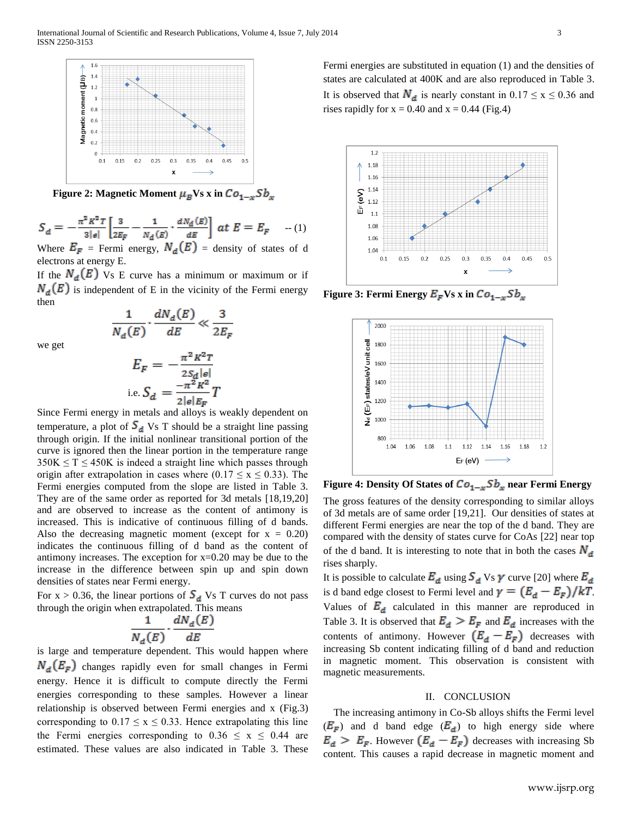

**Figure 2: Magnetic Moment**  $\mu_B$ **Vs x in**  $Co_{1-x}Sb_x$ 

$$
S_d = -\frac{\pi^2 K^2 T}{3|e|} \left[ \frac{3}{2E_F} - \frac{1}{N_d(E)} \cdot \frac{dN_d(E)}{dE} \right] \, dt \, E = E_F \quad ...(1)
$$
\nWhere  $E_{\text{max}} = E_{\text{max}}$  and  $N_s(E) = \text{density of states of } d$ .

Where  $E_F$  = Fermi energy,  $N_d(E)$  = density electrons at energy E.

If the  $N_d(E)$  Vs E curve has a minimum or maximum or if  $N_d(E)$  is independent of E in the vicinity of the Fermi energy then

we get

$$
\frac{1}{N_d(E)} \cdot \frac{aN_d(E)}{dE} \ll \frac{3}{2E_F}
$$

$$
E_F = -\frac{\pi^2 K^2 T}{2S_d |e|}
$$
  
i.e. 
$$
S_d = \frac{-\pi^2 K^2}{2|e|E_F} T
$$

Since Fermi energy in metals and alloys is weakly dependent on temperature, a plot of  $S_d$  Vs T should be a straight line passing through origin. If the initial nonlinear transitional portion of the curve is ignored then the linear portion in the temperature range  $350K \leq T \leq 450K$  is indeed a straight line which passes through origin after extrapolation in cases where  $(0.17 \le x \le 0.33)$ . The Fermi energies computed from the slope are listed in Table 3. They are of the same order as reported for 3d metals [18,19,20] and are observed to increase as the content of antimony is increased. This is indicative of continuous filling of d bands. Also the decreasing magnetic moment (except for  $x = 0.20$ ) indicates the continuous filling of d band as the content of antimony increases. The exception for  $x=0.20$  may be due to the increase in the difference between spin up and spin down densities of states near Fermi energy.

For  $x > 0.36$ , the linear portions of  $S_d$  Vs T curves do not pass through the origin when extrapolated. This means

$$
\frac{1}{N_d(E)}\cdot\frac{dN_d(E)}{dE}
$$

is large and temperature dependent. This would happen where  $N_d(E_F)$  changes rapidly even for small changes in Fermi energy. Hence it is difficult to compute directly the Fermi energies corresponding to these samples. However a linear relationship is observed between Fermi energies and x (Fig.3) corresponding to  $0.17 \le x \le 0.33$ . Hence extrapolating this line the Fermi energies corresponding to  $0.36 \le x \le 0.44$  are estimated. These values are also indicated in Table 3. These Fermi energies are substituted in equation (1) and the densities of states are calculated at 400K and are also reproduced in Table 3. It is observed that  $N_d$  is nearly constant in  $0.17 \le x \le 0.36$  and rises rapidly for  $x = 0.40$  and  $x = 0.44$  (Fig.4)



**Figure 3: Fermi Energy**  $E_F$  **Vs x in**  $Co_{1-x}Sb_x$ 



**Figure 4: Density Of States of**  $Co_{1-x}Sb_x$  **near Fermi Energy** 

The gross features of the density corresponding to similar alloys of 3d metals are of same order [19,21]. Our densities of states at different Fermi energies are near the top of the d band. They are compared with the density of states curve for CoAs [22] near top of the d band. It is interesting to note that in both the cases  $N_d$ rises sharply.

It is possible to calculate  $E_d$  using  $S_d$  Vs  $\gamma$  curve [20] where  $E_d$ is d band edge closest to Fermi level and  $\gamma = (E_d - E_F)/kT$ . Values of  $E_d$  calculated in this manner are reproduced in Table 3. It is observed that  $E_d > E_F$  and  $E_d$  increases with the contents of antimony. However  $(E_d - E_F)$  decreases with increasing Sb content indicating filling of d band and reduction in magnetic moment. This observation is consistent with magnetic measurements.

#### II. CONCLUSION

The increasing antimony in Co-Sb alloys shifts the Fermi level  $(E_F)$  and d band edge  $(E_d)$  to high energy side where  $E_d > E_F$ . However  $(E_d - E_F)$  decreases with increasing Sb content. This causes a rapid decrease in magnetic moment and